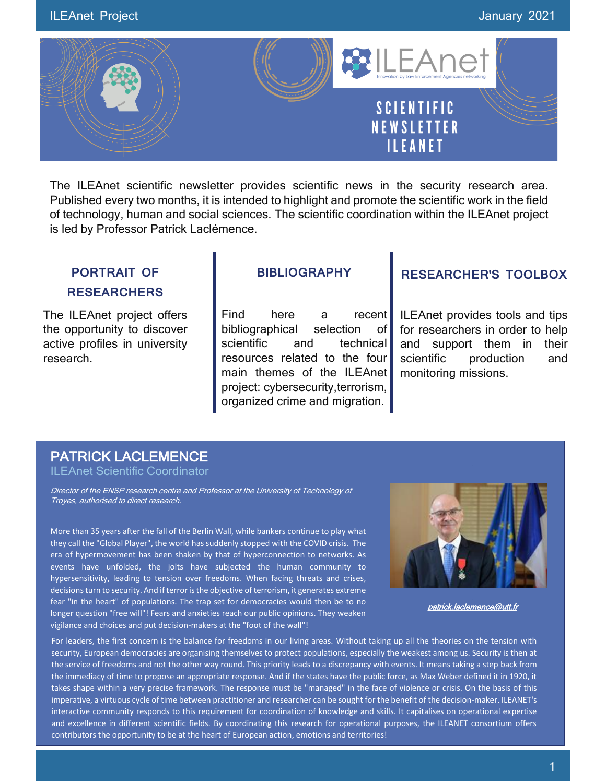

The ILEAnet scientific newsletter provides scientific news in the security research area. Published every two months, it is intended to highlight and promote the scientific work in the field of technology, human and social sciences. The scientific coordination within the ILEAnet project is led by Professor Patrick Laclémence.

# **PORTRAIT OF RESEARCHERS**

The ILEAnet project offers the opportunity to discover active profiles in university research.

# **BIBLIOGRAPHY**

Find here a recent bibliographical selection of scientific and technical resources related to the four main themes of the ILEAnet project: cybersecurity,terrorism, organized crime and migration.

# **RESEARCHER'S TOOLBOX**

ILEAnet provides tools and tips for researchers in order to help and support them in their scientific production and monitoring missions.

# PATRICK LACLEMENCE

ILEAnet Scientific Coordinator

Director of the ENSP research centre and Professor at the University of Technology of Troyes, authorised to direct research.

More than 35 years after the fall of the Berlin Wall, while bankers continue to play what they call the "Global Player", the world has suddenly stopped with the COVID crisis. The era of hypermovement has been shaken by that of hyperconnection to networks. As events have unfolded, the jolts have subjected the human community to hypersensitivity, leading to tension over freedoms. When facing threats and crises, decisions turn to security. And if terror is the objective of terrorism, it generates extreme fear "in the heart" of populations. The trap set for democracies would then be to no longer question "free will"! Fears and anxieties reach our public opinions. They weaken vigilance and choices and put decision-makers at the "foot of the wall"!



patrick.laclemence@utt.fr

For leaders, the first concern is the balance for freedoms in our living areas. Without taking up all the theories on the tension with in the tension with the tension with the tension with the tension with the tension with security, European democracies are organising themselves to protect populations, especially the weakest among us. Security is then at<br>the service of freedoms and not the other way round. This priority leads to a discrepanc security, European democracies are organising themselves to protect populations, especially the weakest among us. Security is then at the immediacy of time to propose an appropriate response. And if the states have the public force, as Max Weber defined it in 1920, it takes shape within a very precise framework. The response must be "managed" in the face of violence or crisis. On the basis of this imperative, a virtuous cycle of time between practitioner and researcher can be sought for the benefit of the decision-maker. ILEANET's interactive community responds to this requirement for coordination of knowledge and skills. It capitalises on operational expertise and excellence in different scientific fields. By coordinating this research for operational purposes, the ILEANET consortium offers contributors the opportunity to be at the heart of European action, emotions and territories!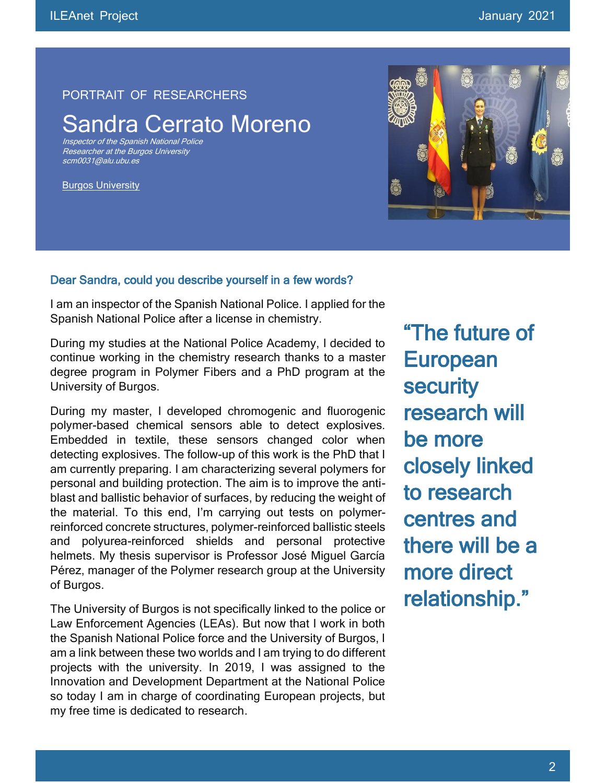#### PORTRAIT OF RESEARCHERS

# Sandra Cerrato Moreno

Inspector of the Spanish National Police Researcher at the Burgos University [scm0031@alu.ubu.es](mailto:scm0031@alu.ubu.es)

Burgos University



#### Dear Sandra, could you describe yourself in a few words?

I am an inspector of the Spanish National Police. I applied for the Spanish National Police after a license in chemistry.

During my studies at the National Police Academy, I decided to continue working in the chemistry research thanks to a master degree program in Polymer Fibers and a PhD program at the University of Burgos.

During my master, I developed chromogenic and fluorogenic polymer-based chemical sensors able to detect explosives. Embedded in textile, these sensors changed color when detecting explosives. The follow-up of this work is the PhD that I am currently preparing. I am characterizing several polymers for personal and building protection. The aim is to improve the antiblast and ballistic behavior of surfaces, by reducing the weight of the material. To this end, I'm carrying out tests on polymerreinforced concrete structures, polymer-reinforced ballistic steels and polyurea-reinforced shields and personal protective helmets. My thesis supervisor is Professor José Miguel García Pérez, manager of the Polymer research group at the University of Burgos.

The University of Burgos is not specifically linked to the police or Law Enforcement Agencies (LEAs). But now that I work in both the Spanish National Police force and the University of Burgos, I am a link between these two worlds and I am trying to do different projects with the university. In 2019, I was assigned to the Innovation and Development Department at the National Police so today I am in charge of coordinating European projects, but my free time is dedicated to research.

"The future of **European security** research will be more closely linked to research centres and there will be a more direct relationship."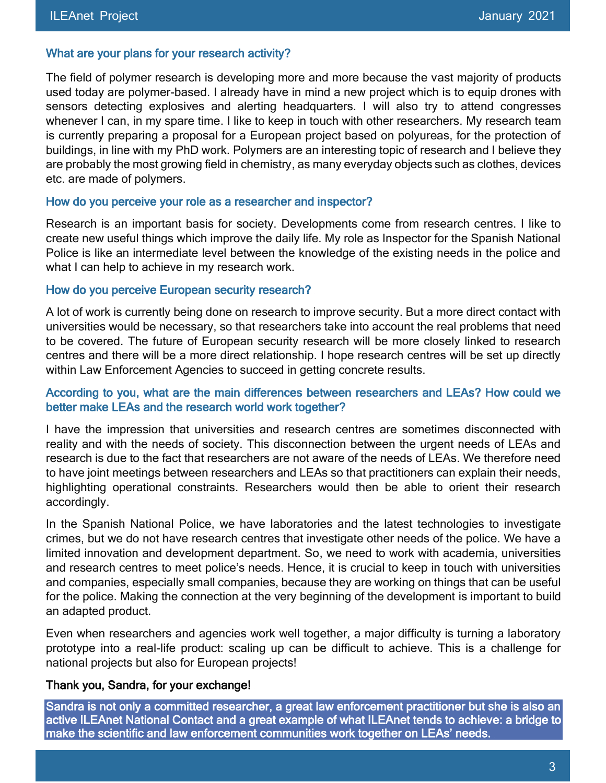#### What are your plans for your research activity?

The field of polymer research is developing more and more because the vast majority of products used today are polymer-based. I already have in mind a new project which is to equip drones with sensors detecting explosives and alerting headquarters. I will also try to attend congresses whenever I can, in my spare time. I like to keep in touch with other researchers. My research team is currently preparing a proposal for a European project based on polyureas, for the protection of buildings, in line with my PhD work. Polymers are an interesting topic of research and I believe they are probably the most growing field in chemistry, as many everyday objects such as clothes, devices etc. are made of polymers.

#### How do you perceive your role as a researcher and inspector?

Research is an important basis for society. Developments come from research centres. I like to create new useful things which improve the daily life. My role as Inspector for the Spanish National Police is like an intermediate level between the knowledge of the existing needs in the police and what I can help to achieve in my research work.

#### How do you perceive European security research?

A lot of work is currently being done on research to improve security. But a more direct contact with universities would be necessary, so that researchers take into account the real problems that need to be covered. The future of European security research will be more closely linked to research centres and there will be a more direct relationship. I hope research centres will be set up directly within Law Enforcement Agencies to succeed in getting concrete results.

#### According to you, what are the main differences between researchers and LEAs? How could we better make LEAs and the research world work together?

I have the impression that universities and research centres are sometimes disconnected with reality and with the needs of society. This disconnection between the urgent needs of LEAs and research is due to the fact that researchers are not aware of the needs of LEAs. We therefore need to have joint meetings between researchers and LEAs so that practitioners can explain their needs, highlighting operational constraints. Researchers would then be able to orient their research accordingly.

In the Spanish National Police, we have laboratories and the latest technologies to investigate crimes, but we do not have research centres that investigate other needs of the police. We have a limited innovation and development department. So, we need to work with academia, universities and research centres to meet police's needs. Hence, it is crucial to keep in touch with universities and companies, especially small companies, because they are working on things that can be useful for the police. Making the connection at the very beginning of the development is important to build an adapted product.

Even when researchers and agencies work well together, a major difficulty is turning a laboratory prototype into a real-life product: scaling up can be difficult to achieve. This is a challenge for national projects but also for European projects!

### Thank you, Sandra, for your exchange!

Sandra is not only a committed researcher, a great law enforcement practitioner but she is also an active ILEAnet National Contact and a great example of what ILEAnet tends to achieve: a bridge to make the scientific and law enforcement communities work together on LEAs' needs.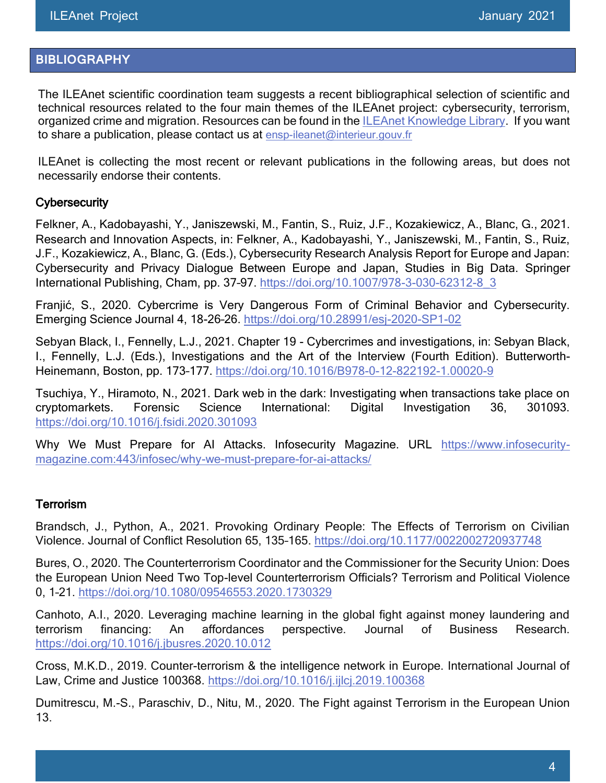# **BIBLIOGRAPHY**

The ILEAnet scientific coordination team suggests a recent bibliographical selection of scientific and technical resources related to the four main themes of the ILEAnet project: cybersecurity, terrorism, organized crime and migration. Resources can be found in the [ILEAnet Knowledge Library.](https://ileanet.sym.place/groups/profile/109443/ileanet-knowledge-factory) If you want to share a publication, please contact us at [ensp-ileanet@interieur.gouv.fr](mailto:ensp-ileanet@interieur.gouv.fr)

ILEAnet is collecting the most recent or relevant publications in the following areas, but does not necessarily endorse their contents.

### **Cybersecurity**

Felkner, A., Kadobayashi, Y., Janiszewski, M., Fantin, S., Ruiz, J.F., Kozakiewicz, A., Blanc, G., 2021. Research and Innovation Aspects, in: Felkner, A., Kadobayashi, Y., Janiszewski, M., Fantin, S., Ruiz, J.F., Kozakiewicz, A., Blanc, G. (Eds.), Cybersecurity Research Analysis Report for Europe and Japan: Cybersecurity and Privacy Dialogue Between Europe and Japan, Studies in Big Data. Springer International Publishing, Cham, pp. 37–97. [https://doi.org/10.1007/978-3-030-62312-8\\_3](https://doi.org/10.1007/978-3-030-62312-8_3)

Franjić, S., 2020. Cybercrime is Very Dangerous Form of Criminal Behavior and Cybersecurity. Emerging Science Journal 4, 18-26–26.<https://doi.org/10.28991/esj-2020-SP1-02>

Sebyan Black, I., Fennelly, L.J., 2021. Chapter 19 - Cybercrimes and investigations, in: Sebyan Black, I., Fennelly, L.J. (Eds.), Investigations and the Art of the Interview (Fourth Edition). Butterworth-Heinemann, Boston, pp. 173–177.<https://doi.org/10.1016/B978-0-12-822192-1.00020-9>

Tsuchiya, Y., Hiramoto, N., 2021. Dark web in the dark: Investigating when transactions take place on cryptomarkets. Forensic Science International: Digital Investigation 36, 301093. <https://doi.org/10.1016/j.fsidi.2020.301093>

Why We Must Prepare for AI Attacks. Infosecurity Magazine. URL [https://www.infosecurity](https://www.infosecurity-magazine.com/infosec/why-we-must-prepare-for-ai-attacks/)[magazine.com:443/infosec/why-we-must-prepare-for-ai-attacks/](https://www.infosecurity-magazine.com/infosec/why-we-must-prepare-for-ai-attacks/)

#### Terrorism

Brandsch, J., Python, A., 2021. Provoking Ordinary People: The Effects of Terrorism on Civilian Violence. Journal of Conflict Resolution 65, 135–165.<https://doi.org/10.1177/0022002720937748>

Bures, O., 2020. The Counterterrorism Coordinator and the Commissioner for the Security Union: Does the European Union Need Two Top-level Counterterrorism Officials? Terrorism and Political Violence 0, 1–21.<https://doi.org/10.1080/09546553.2020.1730329>

Canhoto, A.I., 2020. Leveraging machine learning in the global fight against money laundering and terrorism financing: An affordances perspective. Journal of Business Research. <https://doi.org/10.1016/j.jbusres.2020.10.012>

Cross, M.K.D., 2019. Counter-terrorism & the intelligence network in Europe. International Journal of Law, Crime and Justice 100368.<https://doi.org/10.1016/j.ijlcj.2019.100368>

Dumitrescu, M.-S., Paraschiv, D., Nitu, M., 2020. The Fight against Terrorism in the European Union 13.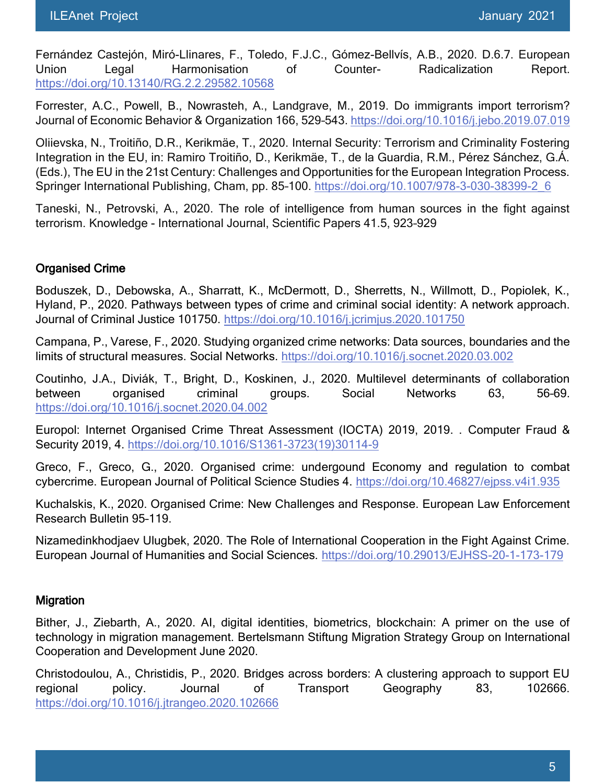Fernández Castejón, Miró-Llinares, F., Toledo, F.J.C., Gómez-Bellvís, A.B., 2020. D.6.7. European Union Legal Harmonisation of Counter- Radicalization Report. <https://doi.org/10.13140/RG.2.2.29582.10568>

Forrester, A.C., Powell, B., Nowrasteh, A., Landgrave, M., 2019. Do immigrants import terrorism? Journal of Economic Behavior & Organization 166, 529–543.<https://doi.org/10.1016/j.jebo.2019.07.019>

Oliievska, N., Troitiño, D.R., Kerikmäe, T., 2020. Internal Security: Terrorism and Criminality Fostering Integration in the EU, in: Ramiro Troitiño, D., Kerikmäe, T., de la Guardia, R.M., Pérez Sánchez, G.Á. (Eds.), The EU in the 21st Century: Challenges and Opportunities for the European Integration Process. Springer International Publishing, Cham, pp. 85–100. [https://doi.org/10.1007/978-3-030-38399-2\\_6](https://doi.org/10.1007/978-3-030-38399-2_6)

Taneski, N., Petrovski, A., 2020. The role of intelligence from human sources in the fight against terrorism. Knowledge - International Journal, Scientific Papers 41.5, 923–929

# Organised Crime

Boduszek, D., Debowska, A., Sharratt, K., McDermott, D., Sherretts, N., Willmott, D., Popiolek, K., Hyland, P., 2020. Pathways between types of crime and criminal social identity: A network approach. Journal of Criminal Justice 101750.<https://doi.org/10.1016/j.jcrimjus.2020.101750>

Campana, P., Varese, F., 2020. Studying organized crime networks: Data sources, boundaries and the limits of structural measures. Social Networks.<https://doi.org/10.1016/j.socnet.2020.03.002>

Coutinho, J.A., Diviák, T., Bright, D., Koskinen, J., 2020. Multilevel determinants of collaboration between organised criminal groups. Social Networks 63, 56–69. <https://doi.org/10.1016/j.socnet.2020.04.002>

Europol: Internet Organised Crime Threat Assessment (IOCTA) 2019, 2019. . Computer Fraud & Security 2019, 4. [https://doi.org/10.1016/S1361-3723\(19\)30114-9](https://doi.org/10.1016/S1361-3723(19)30114-9)

Greco, F., Greco, G., 2020. Organised crime: undergound Economy and regulation to combat cybercrime. European Journal of Political Science Studies 4.<https://doi.org/10.46827/ejpss.v4i1.935>

Kuchalskis, K., 2020. Organised Crime: New Challenges and Response. European Law Enforcement Research Bulletin 95–119.

Nizamedinkhodjaev Ulugbek, 2020. The Role of International Cooperation in the Fight Against Crime. European Journal of Humanities and Social Sciences.<https://doi.org/10.29013/EJHSS-20-1-173-179>

#### **Migration**

Bither, J., Ziebarth, A., 2020. AI, digital identities, biometrics, blockchain: A primer on the use of technology in migration management. Bertelsmann Stiftung Migration Strategy Group on International Cooperation and Development June 2020.

Christodoulou, A., Christidis, P., 2020. Bridges across borders: A clustering approach to support EU regional policy. Journal of Transport Geography 83, 102666. <https://doi.org/10.1016/j.jtrangeo.2020.102666>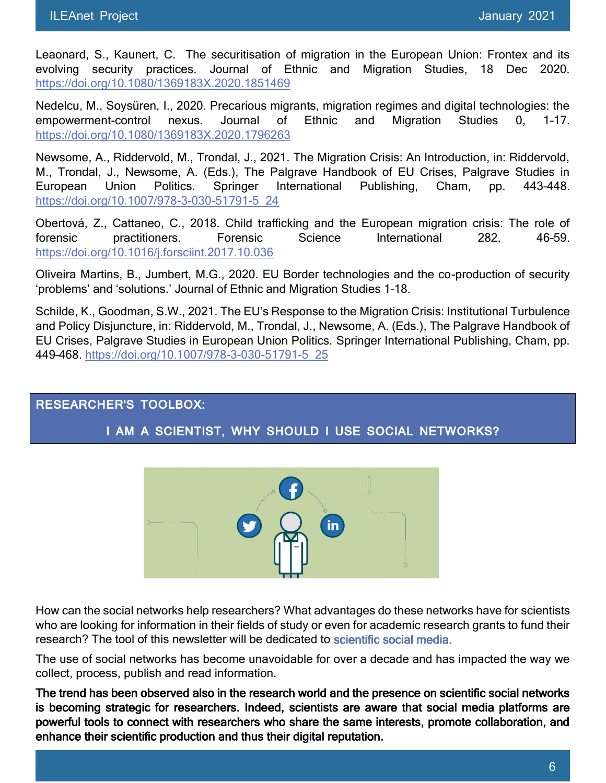Leaonard, S., Kaunert, C. The securitisation of migration in the European Union: Frontex and its evolving security practices. Journal of Ethnic and Migration Studies, 18 Dec 2020. <https://doi.org/10.1080/1369183X.2020.1851469>

Nedelcu, M., Soysüren, I., 2020. Precarious migrants, migration regimes and digital technologies: the empowerment-control nexus. Journal of Ethnic and Migration Studies 0, 1–17. <https://doi.org/10.1080/1369183X.2020.1796263>

Newsome, A., Riddervold, M., Trondal, J., 2021. The Migration Crisis: An Introduction, in: Riddervold, M., Trondal, J., Newsome, A. (Eds.), The Palgrave Handbook of EU Crises, Palgrave Studies in European Union Politics. Springer International Publishing, Cham, pp. 443–448. [https://doi.org/10.1007/978-3-030-51791-5\\_24](https://doi.org/10.1007/978-3-030-51791-5_24)

Obertová, Z., Cattaneo, C., 2018. Child trafficking and the European migration crisis: The role of forensic practitioners. Forensic Science International 282, 46–59. <https://doi.org/10.1016/j.forsciint.2017.10.036>

Oliveira Martins, B., Jumbert, M.G., 2020. EU Border technologies and the co-production of security 'problems' and 'solutions.' Journal of Ethnic and Migration Studies 1–18.

Schilde, K., Goodman, S.W., 2021. The EU's Response to the Migration Crisis: Institutional Turbulence and Policy Disjuncture, in: Riddervold, M., Trondal, J., Newsome, A. (Eds.), The Palgrave Handbook of EU Crises, Palgrave Studies in European Union Politics. Springer International Publishing, Cham, pp. 449–468. [https://doi.org/10.1007/978-3-030-51791-5\\_25](https://doi.org/10.1007/978-3-030-51791-5_25)

#### **RESEARCHER'S TOOLBOX:**

#### **I AM A SCIENTIST, WHY SHOULD I USE SOCIAL NETWORKS?**



How can the social networks help researchers? What advantages do these networks have for scientists who are looking for information in their fields of study or even for academic research grants to fund their research? The tool of this newsletter will be dedicated to scientific social media.

The use of social networks has become unavoidable for over a decade and has impacted the way we collect, process, publish and read information.

The trend has been observed also in the research world and the presence on scientific social networks is becoming strategic for researchers. Indeed, scientists are aware that social media platforms are powerful tools to connect with researchers who share the same interests, promote collaboration, and enhance their scientific production and thus their digital reputation.